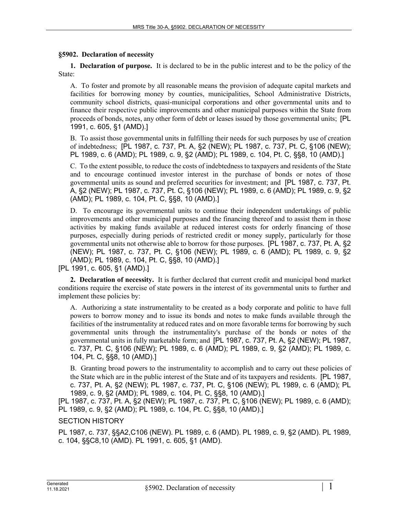## **§5902. Declaration of necessity**

**1. Declaration of purpose.** It is declared to be in the public interest and to be the policy of the State:

A. To foster and promote by all reasonable means the provision of adequate capital markets and facilities for borrowing money by counties, municipalities, School Administrative Districts, community school districts, quasi-municipal corporations and other governmental units and to finance their respective public improvements and other municipal purposes within the State from proceeds of bonds, notes, any other form of debt or leases issued by those governmental units; [PL 1991, c. 605, §1 (AMD).]

B. To assist those governmental units in fulfilling their needs for such purposes by use of creation of indebtedness; [PL 1987, c. 737, Pt. A, §2 (NEW); PL 1987, c. 737, Pt. C, §106 (NEW); PL 1989, c. 6 (AMD); PL 1989, c. 9, §2 (AMD); PL 1989, c. 104, Pt. C, §§8, 10 (AMD).]

C. To the extent possible, to reduce the costs of indebtedness to taxpayers and residents of the State and to encourage continued investor interest in the purchase of bonds or notes of those governmental units as sound and preferred securities for investment; and [PL 1987, c. 737, Pt. A, §2 (NEW); PL 1987, c. 737, Pt. C, §106 (NEW); PL 1989, c. 6 (AMD); PL 1989, c. 9, §2 (AMD); PL 1989, c. 104, Pt. C, §§8, 10 (AMD).]

D. To encourage its governmental units to continue their independent undertakings of public improvements and other municipal purposes and the financing thereof and to assist them in those activities by making funds available at reduced interest costs for orderly financing of those purposes, especially during periods of restricted credit or money supply, particularly for those governmental units not otherwise able to borrow for those purposes. [PL 1987, c. 737, Pt. A, §2 (NEW); PL 1987, c. 737, Pt. C, §106 (NEW); PL 1989, c. 6 (AMD); PL 1989, c. 9, §2 (AMD); PL 1989, c. 104, Pt. C, §§8, 10 (AMD).]

[PL 1991, c. 605, §1 (AMD).]

**2. Declaration of necessity.** It is further declared that current credit and municipal bond market conditions require the exercise of state powers in the interest of its governmental units to further and implement these policies by:

A. Authorizing a state instrumentality to be created as a body corporate and politic to have full powers to borrow money and to issue its bonds and notes to make funds available through the facilities of the instrumentality at reduced rates and on more favorable terms for borrowing by such governmental units through the instrumentality's purchase of the bonds or notes of the governmental units in fully marketable form; and [PL 1987, c. 737, Pt. A, §2 (NEW); PL 1987, c. 737, Pt. C, §106 (NEW); PL 1989, c. 6 (AMD); PL 1989, c. 9, §2 (AMD); PL 1989, c. 104, Pt. C, §§8, 10 (AMD).]

B. Granting broad powers to the instrumentality to accomplish and to carry out these policies of the State which are in the public interest of the State and of its taxpayers and residents. [PL 1987, c. 737, Pt. A, §2 (NEW); PL 1987, c. 737, Pt. C, §106 (NEW); PL 1989, c. 6 (AMD); PL 1989, c. 9, §2 (AMD); PL 1989, c. 104, Pt. C, §§8, 10 (AMD).]

[PL 1987, c. 737, Pt. A, §2 (NEW); PL 1987, c. 737, Pt. C, §106 (NEW); PL 1989, c. 6 (AMD); PL 1989, c. 9, §2 (AMD); PL 1989, c. 104, Pt. C, §§8, 10 (AMD).]

## SECTION HISTORY

PL 1987, c. 737, §§A2,C106 (NEW). PL 1989, c. 6 (AMD). PL 1989, c. 9, §2 (AMD). PL 1989, c. 104, §§C8,10 (AMD). PL 1991, c. 605, §1 (AMD).